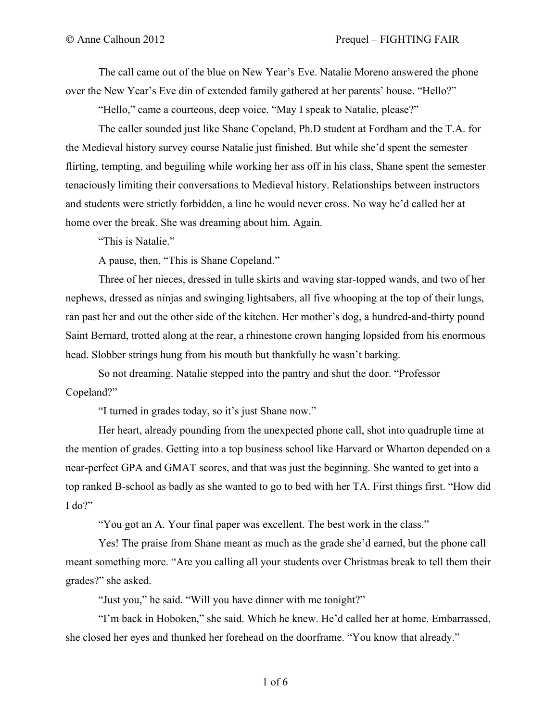The call came out of the blue on New Year's Eve. Natalie Moreno answered the phone over the New Year's Eve din of extended family gathered at her parents' house. "Hello?"

"Hello," came a courteous, deep voice. "May I speak to Natalie, please?"

The caller sounded just like Shane Copeland, Ph.D student at Fordham and the T.A. for the Medieval history survey course Natalie just finished. But while she'd spent the semester flirting, tempting, and beguiling while working her ass off in his class, Shane spent the semester tenaciously limiting their conversations to Medieval history. Relationships between instructors and students were strictly forbidden, a line he would never cross. No way he'd called her at home over the break. She was dreaming about him. Again.

"This is Natalie."

A pause, then, "This is Shane Copeland."

Three of her nieces, dressed in tulle skirts and waving star-topped wands, and two of her nephews, dressed as ninjas and swinging lightsabers, all five whooping at the top of their lungs, ran past her and out the other side of the kitchen. Her mother's dog, a hundred-and-thirty pound Saint Bernard, trotted along at the rear, a rhinestone crown hanging lopsided from his enormous head. Slobber strings hung from his mouth but thankfully he wasn't barking.

So not dreaming. Natalie stepped into the pantry and shut the door. "Professor Copeland?"

"I turned in grades today, so it's just Shane now."

Her heart, already pounding from the unexpected phone call, shot into quadruple time at the mention of grades. Getting into a top business school like Harvard or Wharton depended on a near-perfect GPA and GMAT scores, and that was just the beginning. She wanted to get into a top ranked B-school as badly as she wanted to go to bed with her TA. First things first. "How did I do?"

"You got an A. Your final paper was excellent. The best work in the class."

Yes! The praise from Shane meant as much as the grade she'd earned, but the phone call meant something more. "Are you calling all your students over Christmas break to tell them their grades?" she asked.

"Just you," he said. "Will you have dinner with me tonight?"

"I'm back in Hoboken," she said. Which he knew. He'd called her at home. Embarrassed, she closed her eyes and thunked her forehead on the doorframe. "You know that already."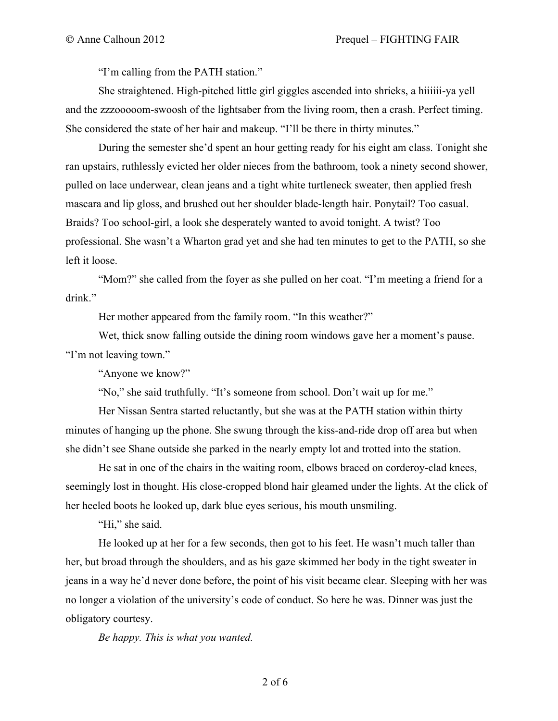"I'm calling from the PATH station."

She straightened. High-pitched little girl giggles ascended into shrieks, a hiiiiii-ya yell and the zzzooooom-swoosh of the lightsaber from the living room, then a crash. Perfect timing. She considered the state of her hair and makeup. "I'll be there in thirty minutes."

During the semester she'd spent an hour getting ready for his eight am class. Tonight she ran upstairs, ruthlessly evicted her older nieces from the bathroom, took a ninety second shower, pulled on lace underwear, clean jeans and a tight white turtleneck sweater, then applied fresh mascara and lip gloss, and brushed out her shoulder blade-length hair. Ponytail? Too casual. Braids? Too school-girl, a look she desperately wanted to avoid tonight. A twist? Too professional. She wasn't a Wharton grad yet and she had ten minutes to get to the PATH, so she left it loose.

"Mom?" she called from the foyer as she pulled on her coat. "I'm meeting a friend for a drink."

Her mother appeared from the family room. "In this weather?"

Wet, thick snow falling outside the dining room windows gave her a moment's pause. "I'm not leaving town."

"Anyone we know?"

"No," she said truthfully. "It's someone from school. Don't wait up for me."

Her Nissan Sentra started reluctantly, but she was at the PATH station within thirty minutes of hanging up the phone. She swung through the kiss-and-ride drop off area but when she didn't see Shane outside she parked in the nearly empty lot and trotted into the station.

He sat in one of the chairs in the waiting room, elbows braced on corderoy-clad knees, seemingly lost in thought. His close-cropped blond hair gleamed under the lights. At the click of her heeled boots he looked up, dark blue eyes serious, his mouth unsmiling.

"Hi," she said.

He looked up at her for a few seconds, then got to his feet. He wasn't much taller than her, but broad through the shoulders, and as his gaze skimmed her body in the tight sweater in jeans in a way he'd never done before, the point of his visit became clear. Sleeping with her was no longer a violation of the university's code of conduct. So here he was. Dinner was just the obligatory courtesy.

*Be happy. This is what you wanted.*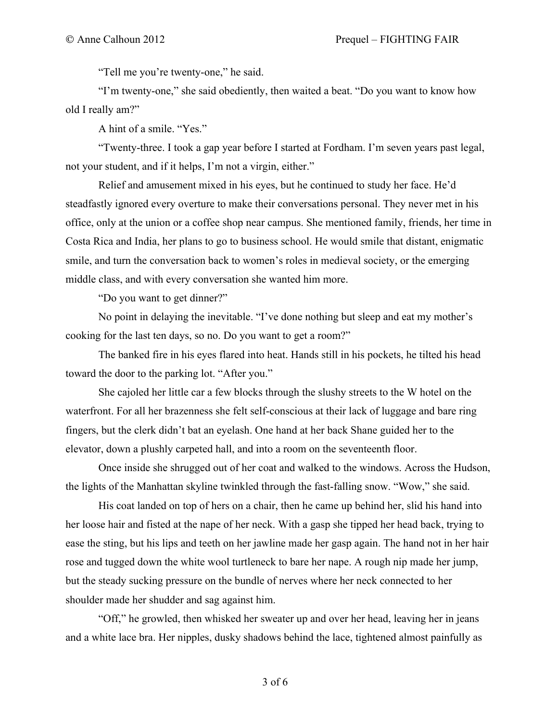"Tell me you're twenty-one," he said.

"I'm twenty-one," she said obediently, then waited a beat. "Do you want to know how old I really am?"

A hint of a smile. "Yes."

"Twenty-three. I took a gap year before I started at Fordham. I'm seven years past legal, not your student, and if it helps, I'm not a virgin, either."

Relief and amusement mixed in his eyes, but he continued to study her face. He'd steadfastly ignored every overture to make their conversations personal. They never met in his office, only at the union or a coffee shop near campus. She mentioned family, friends, her time in Costa Rica and India, her plans to go to business school. He would smile that distant, enigmatic smile, and turn the conversation back to women's roles in medieval society, or the emerging middle class, and with every conversation she wanted him more.

"Do you want to get dinner?"

No point in delaying the inevitable. "I've done nothing but sleep and eat my mother's cooking for the last ten days, so no. Do you want to get a room?"

The banked fire in his eyes flared into heat. Hands still in his pockets, he tilted his head toward the door to the parking lot. "After you."

She cajoled her little car a few blocks through the slushy streets to the W hotel on the waterfront. For all her brazenness she felt self-conscious at their lack of luggage and bare ring fingers, but the clerk didn't bat an eyelash. One hand at her back Shane guided her to the elevator, down a plushly carpeted hall, and into a room on the seventeenth floor.

Once inside she shrugged out of her coat and walked to the windows. Across the Hudson, the lights of the Manhattan skyline twinkled through the fast-falling snow. "Wow," she said.

His coat landed on top of hers on a chair, then he came up behind her, slid his hand into her loose hair and fisted at the nape of her neck. With a gasp she tipped her head back, trying to ease the sting, but his lips and teeth on her jawline made her gasp again. The hand not in her hair rose and tugged down the white wool turtleneck to bare her nape. A rough nip made her jump, but the steady sucking pressure on the bundle of nerves where her neck connected to her shoulder made her shudder and sag against him.

"Off," he growled, then whisked her sweater up and over her head, leaving her in jeans and a white lace bra. Her nipples, dusky shadows behind the lace, tightened almost painfully as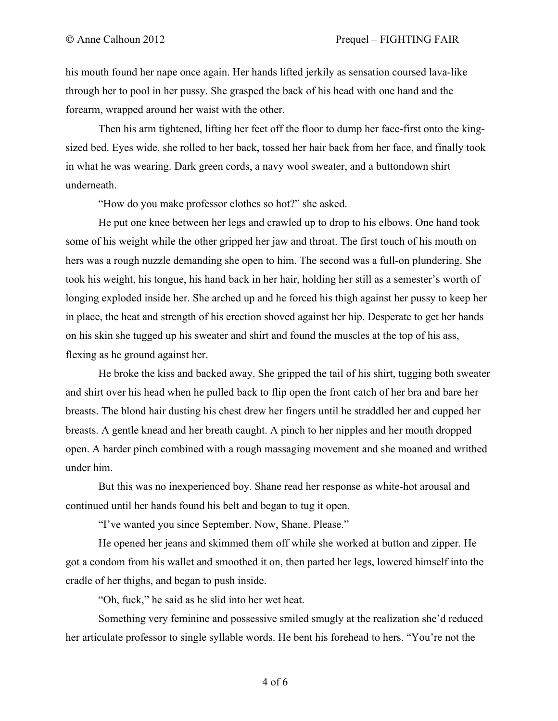his mouth found her nape once again. Her hands lifted jerkily as sensation coursed lava-like through her to pool in her pussy. She grasped the back of his head with one hand and the forearm, wrapped around her waist with the other.

Then his arm tightened, lifting her feet off the floor to dump her face-first onto the kingsized bed. Eyes wide, she rolled to her back, tossed her hair back from her face, and finally took in what he was wearing. Dark green cords, a navy wool sweater, and a buttondown shirt underneath.

"How do you make professor clothes so hot?" she asked.

He put one knee between her legs and crawled up to drop to his elbows. One hand took some of his weight while the other gripped her jaw and throat. The first touch of his mouth on hers was a rough nuzzle demanding she open to him. The second was a full-on plundering. She took his weight, his tongue, his hand back in her hair, holding her still as a semester's worth of longing exploded inside her. She arched up and he forced his thigh against her pussy to keep her in place, the heat and strength of his erection shoved against her hip. Desperate to get her hands on his skin she tugged up his sweater and shirt and found the muscles at the top of his ass, flexing as he ground against her.

He broke the kiss and backed away. She gripped the tail of his shirt, tugging both sweater and shirt over his head when he pulled back to flip open the front catch of her bra and bare her breasts. The blond hair dusting his chest drew her fingers until he straddled her and cupped her breasts. A gentle knead and her breath caught. A pinch to her nipples and her mouth dropped open. A harder pinch combined with a rough massaging movement and she moaned and writhed under him.

But this was no inexperienced boy. Shane read her response as white-hot arousal and continued until her hands found his belt and began to tug it open.

"I've wanted you since September. Now, Shane. Please."

He opened her jeans and skimmed them off while she worked at button and zipper. He got a condom from his wallet and smoothed it on, then parted her legs, lowered himself into the cradle of her thighs, and began to push inside.

"Oh, fuck," he said as he slid into her wet heat.

Something very feminine and possessive smiled smugly at the realization she'd reduced her articulate professor to single syllable words. He bent his forehead to hers. "You're not the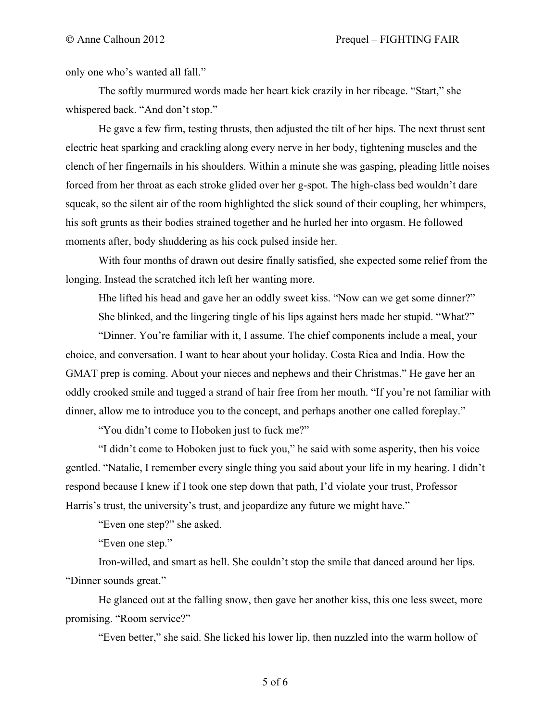only one who's wanted all fall."

The softly murmured words made her heart kick crazily in her ribcage. "Start," she whispered back. "And don't stop."

He gave a few firm, testing thrusts, then adjusted the tilt of her hips. The next thrust sent electric heat sparking and crackling along every nerve in her body, tightening muscles and the clench of her fingernails in his shoulders. Within a minute she was gasping, pleading little noises forced from her throat as each stroke glided over her g-spot. The high-class bed wouldn't dare squeak, so the silent air of the room highlighted the slick sound of their coupling, her whimpers, his soft grunts as their bodies strained together and he hurled her into orgasm. He followed moments after, body shuddering as his cock pulsed inside her.

With four months of drawn out desire finally satisfied, she expected some relief from the longing. Instead the scratched itch left her wanting more.

Hhe lifted his head and gave her an oddly sweet kiss. "Now can we get some dinner?" She blinked, and the lingering tingle of his lips against hers made her stupid. "What?"

"Dinner. You're familiar with it, I assume. The chief components include a meal, your choice, and conversation. I want to hear about your holiday. Costa Rica and India. How the GMAT prep is coming. About your nieces and nephews and their Christmas." He gave her an oddly crooked smile and tugged a strand of hair free from her mouth. "If you're not familiar with dinner, allow me to introduce you to the concept, and perhaps another one called foreplay."

"You didn't come to Hoboken just to fuck me?"

"I didn't come to Hoboken just to fuck you," he said with some asperity, then his voice gentled. "Natalie, I remember every single thing you said about your life in my hearing. I didn't respond because I knew if I took one step down that path, I'd violate your trust, Professor Harris's trust, the university's trust, and jeopardize any future we might have."

"Even one step?" she asked.

"Even one step."

Iron-willed, and smart as hell. She couldn't stop the smile that danced around her lips. "Dinner sounds great."

He glanced out at the falling snow, then gave her another kiss, this one less sweet, more promising. "Room service?"

"Even better," she said. She licked his lower lip, then nuzzled into the warm hollow of